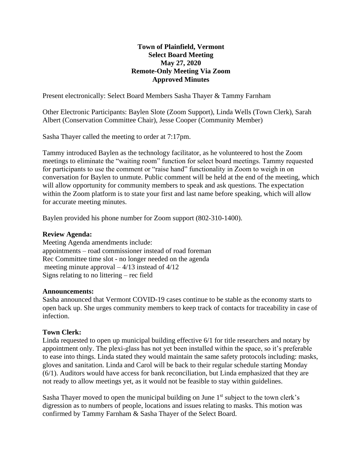# **Town of Plainfield, Vermont Select Board Meeting May 27, 2020 Remote-Only Meeting Via Zoom Approved Minutes**

Present electronically: Select Board Members Sasha Thayer & Tammy Farnham

Other Electronic Participants: Baylen Slote (Zoom Support), Linda Wells (Town Clerk), Sarah Albert (Conservation Committee Chair), Jesse Cooper (Community Member)

Sasha Thayer called the meeting to order at 7:17pm.

Tammy introduced Baylen as the technology facilitator, as he volunteered to host the Zoom meetings to eliminate the "waiting room" function for select board meetings. Tammy requested for participants to use the comment or "raise hand" functionality in Zoom to weigh in on conversation for Baylen to unmute. Public comment will be held at the end of the meeting, which will allow opportunity for community members to speak and ask questions. The expectation within the Zoom platform is to state your first and last name before speaking, which will allow for accurate meeting minutes.

Baylen provided his phone number for Zoom support (802-310-1400).

#### **Review Agenda:**

Meeting Agenda amendments include: appointments – road commissioner instead of road foreman Rec Committee time slot - no longer needed on the agenda meeting minute approval  $-4/13$  instead of  $4/12$ Signs relating to no littering – rec field

#### **Announcements:**

Sasha announced that Vermont COVID-19 cases continue to be stable as the economy starts to open back up. She urges community members to keep track of contacts for traceability in case of infection.

### **Town Clerk:**

Linda requested to open up municipal building effective 6/1 for title researchers and notary by appointment only. The plexi-glass has not yet been installed within the space, so it's preferable to ease into things. Linda stated they would maintain the same safety protocols including: masks, gloves and sanitation. Linda and Carol will be back to their regular schedule starting Monday (6/1). Auditors would have access for bank reconciliation, but Linda emphasized that they are not ready to allow meetings yet, as it would not be feasible to stay within guidelines.

Sasha Thayer moved to open the municipal building on June  $1<sup>st</sup>$  subject to the town clerk's digression as to numbers of people, locations and issues relating to masks. This motion was confirmed by Tammy Farnham & Sasha Thayer of the Select Board.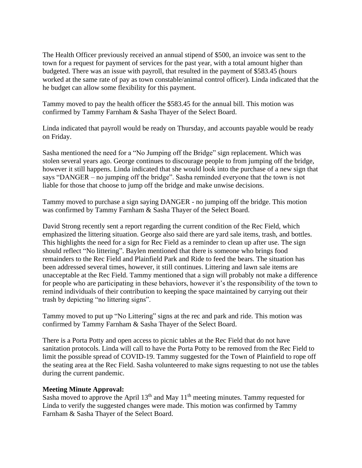The Health Officer previously received an annual stipend of \$500, an invoice was sent to the town for a request for payment of services for the past year, with a total amount higher than budgeted. There was an issue with payroll, that resulted in the payment of \$583.45 (hours worked at the same rate of pay as town constable/animal control officer). Linda indicated that the he budget can allow some flexibility for this payment.

Tammy moved to pay the health officer the \$583.45 for the annual bill. This motion was confirmed by Tammy Farnham & Sasha Thayer of the Select Board.

Linda indicated that payroll would be ready on Thursday, and accounts payable would be ready on Friday.

Sasha mentioned the need for a "No Jumping off the Bridge" sign replacement. Which was stolen several years ago. George continues to discourage people to from jumping off the bridge, however it still happens. Linda indicated that she would look into the purchase of a new sign that says "DANGER – no jumping off the bridge". Sasha reminded everyone that the town is not liable for those that choose to jump off the bridge and make unwise decisions.

Tammy moved to purchase a sign saying DANGER - no jumping off the bridge. This motion was confirmed by Tammy Farnham & Sasha Thayer of the Select Board.

David Strong recently sent a report regarding the current condition of the Rec Field, which emphasized the littering situation. George also said there are yard sale items, trash, and bottles. This highlights the need for a sign for Rec Field as a reminder to clean up after use. The sign should reflect "No littering". Baylen mentioned that there is someone who brings food remainders to the Rec Field and Plainfield Park and Ride to feed the bears. The situation has been addressed several times, however, it still continues. Littering and lawn sale items are unacceptable at the Rec Field. Tammy mentioned that a sign will probably not make a difference for people who are participating in these behaviors, however it's the responsibility of the town to remind individuals of their contribution to keeping the space maintained by carrying out their trash by depicting "no littering signs".

Tammy moved to put up "No Littering" signs at the rec and park and ride. This motion was confirmed by Tammy Farnham & Sasha Thayer of the Select Board.

There is a Porta Potty and open access to picnic tables at the Rec Field that do not have sanitation protocols. Linda will call to have the Porta Potty to be removed from the Rec Field to limit the possible spread of COVID-19. Tammy suggested for the Town of Plainfield to rope off the seating area at the Rec Field. Sasha volunteered to make signs requesting to not use the tables during the current pandemic.

### **Meeting Minute Approval:**

Sasha moved to approve the April  $13<sup>th</sup>$  and May  $11<sup>th</sup>$  meeting minutes. Tammy requested for Linda to verify the suggested changes were made. This motion was confirmed by Tammy Farnham & Sasha Thayer of the Select Board.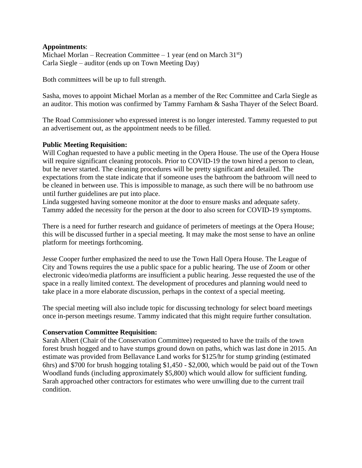### **Appointments**:

Michael Morlan – Recreation Committee – 1 year (end on March  $31<sup>st</sup>$ ) Carla Siegle – auditor (ends up on Town Meeting Day)

Both committees will be up to full strength.

Sasha, moves to appoint Michael Morlan as a member of the Rec Committee and Carla Siegle as an auditor. This motion was confirmed by Tammy Farnham & Sasha Thayer of the Select Board.

The Road Commissioner who expressed interest is no longer interested. Tammy requested to put an advertisement out, as the appointment needs to be filled.

# **Public Meeting Requisition:**

Will Coghan requested to have a public meeting in the Opera House. The use of the Opera House will require significant cleaning protocols. Prior to COVID-19 the town hired a person to clean, but he never started. The cleaning procedures will be pretty significant and detailed. The expectations from the state indicate that if someone uses the bathroom the bathroom will need to be cleaned in between use. This is impossible to manage, as such there will be no bathroom use until further guidelines are put into place.

Linda suggested having someone monitor at the door to ensure masks and adequate safety. Tammy added the necessity for the person at the door to also screen for COVID-19 symptoms.

There is a need for further research and guidance of perimeters of meetings at the Opera House; this will be discussed further in a special meeting. It may make the most sense to have an online platform for meetings forthcoming.

Jesse Cooper further emphasized the need to use the Town Hall Opera House. The League of City and Towns requires the use a public space for a public hearing. The use of Zoom or other electronic video/media platforms are insufficient a public hearing. Jesse requested the use of the space in a really limited context. The development of procedures and planning would need to take place in a more elaborate discussion, perhaps in the context of a special meeting.

The special meeting will also include topic for discussing technology for select board meetings once in-person meetings resume. Tammy indicated that this might require further consultation.

### **Conservation Committee Requisition:**

Sarah Albert (Chair of the Conservation Committee) requested to have the trails of the town forest brush hogged and to have stumps ground down on paths, which was last done in 2015. An estimate was provided from Bellavance Land works for \$125/hr for stump grinding (estimated 6hrs) and \$700 for brush hogging totaling \$1,450 - \$2,000, which would be paid out of the Town Woodland funds (including approximately \$5,800) which would allow for sufficient funding. Sarah approached other contractors for estimates who were unwilling due to the current trail condition.